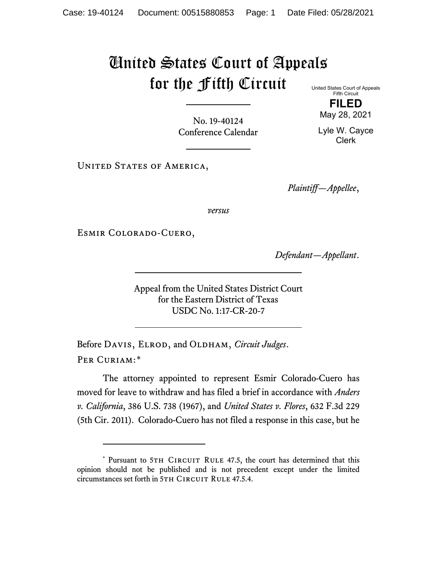## United States Court of Appeals for the Fifth Circuit United States Court of Appeals

Fifth Circuit **FILED**

No. 19-40124 Conference Calendar

May 28, 2021 Lyle W. Cayce Clerk

UNITED STATES OF AMERICA,

*Plaintiff—Appellee*,

*versus*

Esmir Colorado-Cuero,

*Defendant—Appellant*.

Appeal from the United States District Court for the Eastern District of Texas USDC No. 1:17-CR-20-7

Before DAVIS, ELROD, and OLDHAM, *Circuit Judges*. Per Curiam:[\\*](#page-0-0)

The attorney appointed to represent Esmir Colorado-Cuero has moved for leave to withdraw and has filed a brief in accordance with *Anders v. California*, 386 U.S. 738 (1967), and *United States v. Flores*, 632 F.3d 229 (5th Cir. 2011). Colorado-Cuero has not filed a response in this case, but he

<span id="page-0-0"></span><sup>\*</sup> Pursuant to 5TH CIRCUIT RULE 47.5, the court has determined that this opinion should not be published and is not precedent except under the limited circumstances set forth in 5TH CIRCUIT RULE 47.5.4.